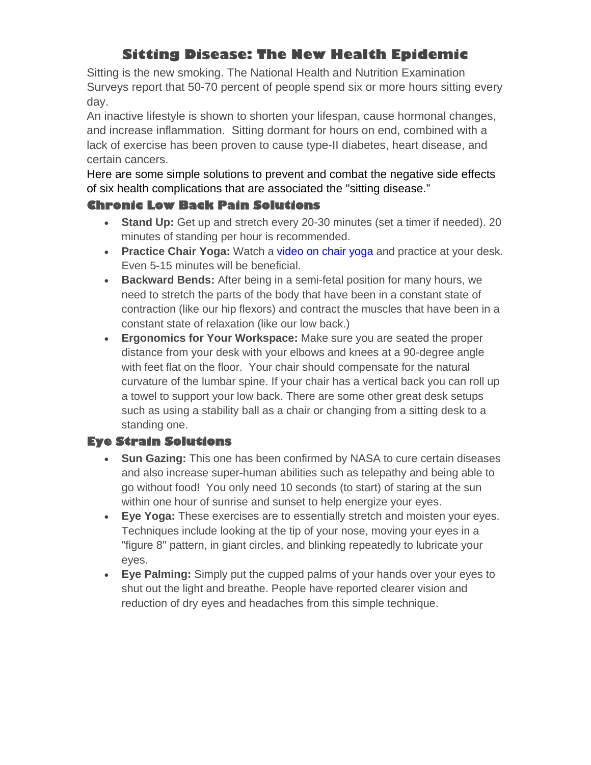# **Sitting Disease: The New Health Epidemic**

Sitting is the new smoking. The National Health and Nutrition Examination Surveys report that 50-70 percent of people spend six or more hours sitting every day.

An inactive lifestyle is shown to shorten your lifespan, cause hormonal changes, and increase inflammation. Sitting dormant for hours on end, combined with a lack of exercise has been proven to cause type-II diabetes, heart disease, and certain cancers.

Here are some simple solutions to prevent and combat the negative side effects of six health complications that are associated the "sitting disease."

## **Chronic Low Back Pain Solutions**

- **Stand Up:** Get up and stretch every 20-30 minutes (set a timer if needed). 20 minutes of standing per hour is recommended.
- **Practice Chair Yoga:** Watch a video on chair yoga and practice at your desk. Even 5-15 minutes will be beneficial.
- **Backward Bends:** After being in a semi-fetal position for many hours, we need to stretch the parts of the body that have been in a constant state of contraction (like our hip flexors) and contract the muscles that have been in a constant state of relaxation (like our low back.)
- **Ergonomics for Your Workspace:** Make sure you are seated the proper distance from your desk with your elbows and knees at a 90-degree angle with feet flat on the floor. Your chair should compensate for the natural curvature of the lumbar spine. If your chair has a vertical back you can roll up a towel to support your low back. There are some other great desk setups such as using a stability ball as a chair or changing from a sitting desk to a standing one.

# **Eye Strain Solutions**

- **Sun Gazing:** This one has been confirmed by NASA to cure certain diseases and also increase super-human abilities such as telepathy and being able to go without food! You only need 10 seconds (to start) of staring at the sun within one hour of sunrise and sunset to help energize your eyes.
- **Eye Yoga:** These exercises are to essentially stretch and moisten your eyes. Techniques include looking at the tip of your nose, moving your eyes in a "figure 8" pattern, in giant circles, and blinking repeatedly to lubricate your eyes.
- **Eye Palming:** Simply put the cupped palms of your hands over your eyes to shut out the light and breathe. People have reported clearer vision and reduction of dry eyes and headaches from this simple technique.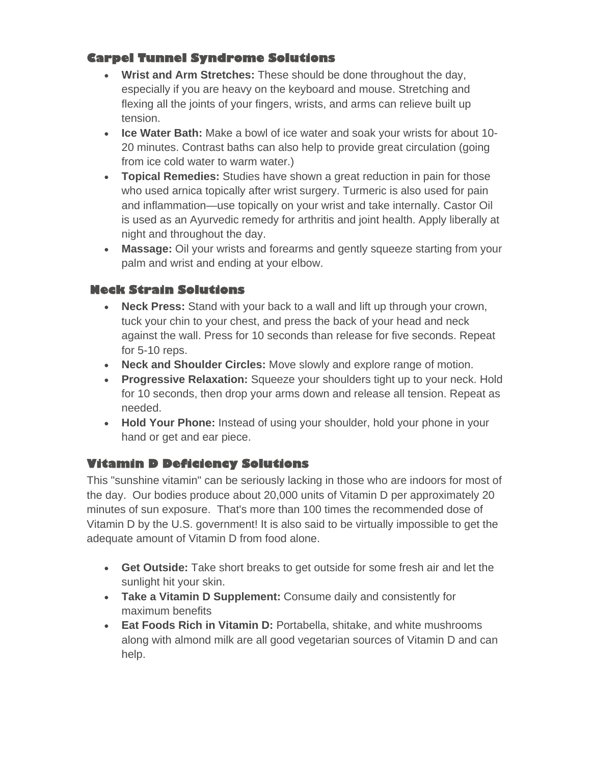# **Carpel Tunnel Syndrome Solutions**

- **Wrist and Arm Stretches:** These should be done throughout the day, especially if you are heavy on the keyboard and mouse. Stretching and flexing all the joints of your fingers, wrists, and arms can relieve built up tension.
- **Ice Water Bath:** Make a bowl of ice water and soak your wrists for about 10- 20 minutes. Contrast baths can also help to provide great circulation (going from ice cold water to warm water.)
- **Topical Remedies:** Studies have shown a great reduction in pain for those who used arnica topically after wrist surgery. Turmeric is also used for pain and inflammation—use topically on your wrist and take internally. Castor Oil is used as an Ayurvedic remedy for arthritis and joint health. Apply liberally at night and throughout the day.
- **Massage:** Oil your wrists and forearms and gently squeeze starting from your palm and wrist and ending at your elbow.

### **Neck Strain Solutions**

- **Neck Press:** Stand with your back to a wall and lift up through your crown, tuck your chin to your chest, and press the back of your head and neck against the wall. Press for 10 seconds than release for five seconds. Repeat for 5-10 reps.
- **Neck and Shoulder Circles:** Move slowly and explore range of motion.
- **Progressive Relaxation:** Squeeze your shoulders tight up to your neck. Hold for 10 seconds, then drop your arms down and release all tension. Repeat as needed.
- **Hold Your Phone:** Instead of using your shoulder, hold your phone in your hand or get and ear piece.

### **Vitamin D Deficiency Solutions**

This "sunshine vitamin" can be seriously lacking in those who are indoors for most of the day. Our bodies produce about 20,000 units of Vitamin D per approximately 20 minutes of sun exposure. That's more than 100 times the recommended dose of Vitamin D by the U.S. government! It is also said to be virtually impossible to get the adequate amount of Vitamin D from food alone.

- **Get Outside:** Take short breaks to get outside for some fresh air and let the sunlight hit your skin.
- **Take a Vitamin D Supplement:** Consume daily and consistently for maximum benefits
- **Eat Foods Rich in Vitamin D:** Portabella, shitake, and white mushrooms along with almond milk are all good vegetarian sources of Vitamin D and can help.